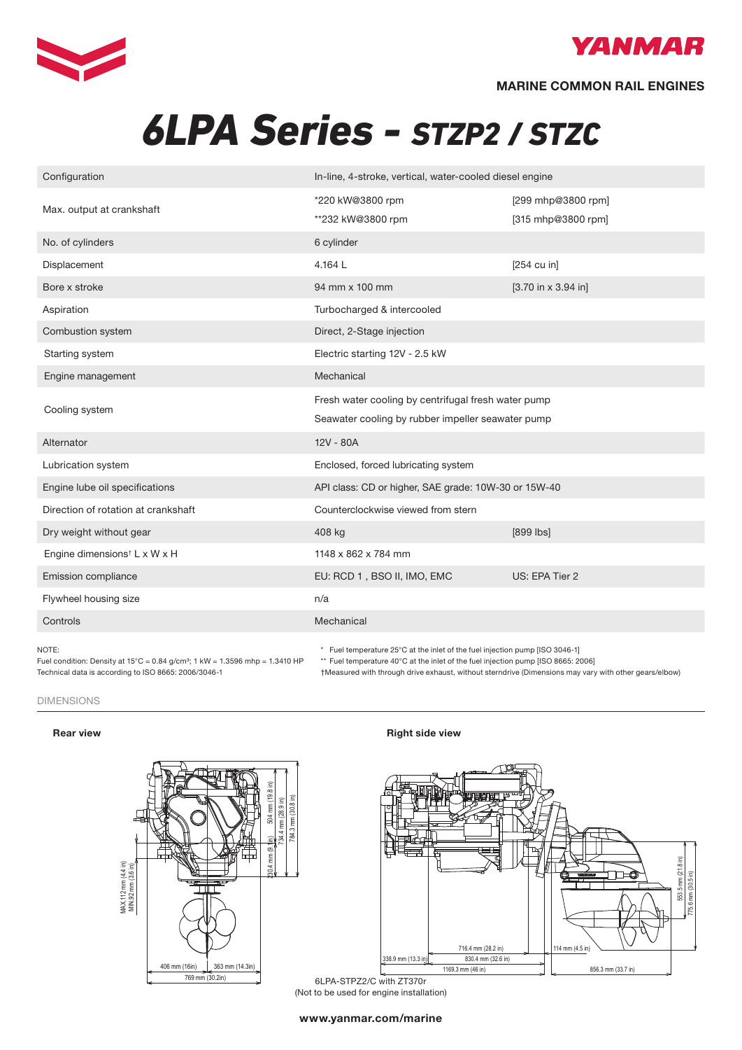



# *6LPA Series - STZP2 / STZC*

| Configuration                            | In-line, 4-stroke, vertical, water-cooled diesel engine                      |                                        |  |  |  |  |
|------------------------------------------|------------------------------------------------------------------------------|----------------------------------------|--|--|--|--|
|                                          | *220 kW@3800 rpm                                                             | [299 mhp@3800 rpm]                     |  |  |  |  |
| Max. output at crankshaft                | **232 kW@3800 rpm                                                            | [315 mhp@3800 rpm]                     |  |  |  |  |
| No. of cylinders                         | 6 cylinder                                                                   |                                        |  |  |  |  |
| Displacement                             | 4.164L                                                                       | $[254$ cu in]                          |  |  |  |  |
| Bore x stroke                            | 94 mm x 100 mm                                                               | $[3.70 \text{ in } x 3.94 \text{ in}]$ |  |  |  |  |
| Aspiration                               | Turbocharged & intercooled                                                   |                                        |  |  |  |  |
| Combustion system                        | Direct, 2-Stage injection                                                    |                                        |  |  |  |  |
| Starting system                          | Electric starting 12V - 2.5 kW                                               |                                        |  |  |  |  |
| Engine management                        | Mechanical                                                                   |                                        |  |  |  |  |
|                                          | Fresh water cooling by centrifugal fresh water pump                          |                                        |  |  |  |  |
| Cooling system                           | Seawater cooling by rubber impeller seawater pump                            |                                        |  |  |  |  |
| Alternator                               | 12V - 80A                                                                    |                                        |  |  |  |  |
| Lubrication system                       | Enclosed, forced lubricating system                                          |                                        |  |  |  |  |
| Engine lube oil specifications           | API class: CD or higher, SAE grade: 10W-30 or 15W-40                         |                                        |  |  |  |  |
| Direction of rotation at crankshaft      | Counterclockwise viewed from stern                                           |                                        |  |  |  |  |
| Dry weight without gear                  | 408 kg                                                                       | $[899$ $ bs]$                          |  |  |  |  |
| Engine dimensions <sup>†</sup> L x W x H | 1148 x 862 x 784 mm                                                          |                                        |  |  |  |  |
| Emission compliance                      | EU: RCD 1, BSO II, IMO, EMC                                                  | US: EPA Tier 2                         |  |  |  |  |
| Flywheel housing size                    | n/a                                                                          |                                        |  |  |  |  |
| Controls                                 | Mechanical                                                                   |                                        |  |  |  |  |
| NOTE:                                    | * Fuel temperature 25°C at the inlet of the fuel injection pump [ISO 3046-1] |                                        |  |  |  |  |

NOTE:

Fuel condition: Density at  $15^{\circ}$ C = 0.84 g/cm<sup>3</sup>; 1 kW = 1.3596 mhp = 1.3410 HP Technical data is according to ISO 8665: 2006/3046-1 <br>
Theasured with through \* Fuel temperature 25°C at the inlet of the fuel injection pump (ISO 3046-1)

\*\* Fuel temperature 40°C at the inlet of the fuel injection pump [ISO 8665: 2006]

†Measured with through drive exhaust, without sterndrive (Dimensions may vary with other gears/elbow)

### DIMENSIONS

## Dimensions (For detailed line-drawings, please refer to our web-site: www.yanmarmarine.com)



## Rear view **Right side view** Right side view



6LPA-STPZ2/C with ZT370r (Not to be used for engine installation)

www.yanmar.com/marine